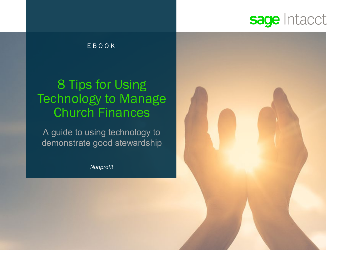### sage Intacct

### EBOOK

### 8 Tips for Using Technology to Manage Church Finances

A guide to using technology to demonstrate good stewardship

*Nonprofit*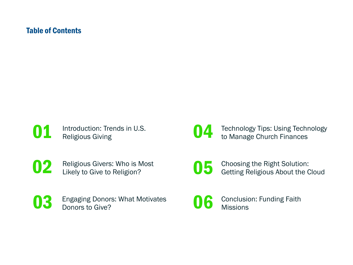### Table of Contents

**01** Introduction: Trends in U.S.<br>Religious Giving

**04** Technology Tips: Using Technology<br>to Manage Church Finances

**02** Religious Givers: Who is Most<br>Likely to Give to Religion?

O 5 Choosing the Right Solution:<br>Getting Religious About the Cloud

- **03** Engaging Donors: What Motivates Donors to Give?
- 

06 Conclusion: Funding Faith **Missions**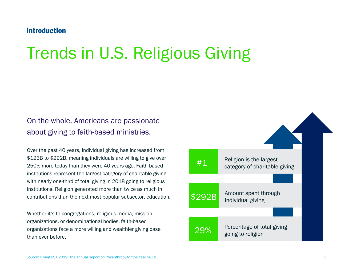### **Introduction**

## Trends in U.S. Religious Giving

### On the whole, Americans are passionate about giving to faith-based ministries.

Over the past 40 years, individual giving has increased from \$123B to \$292B, meaning individuals are willing to give over 250% more today than they were 40 years ago. Faith-based institutions represent the largest category of charitable giving, with nearly one-third of total giving in 2018 going to religious institutions. Religion generated more than twice as much in contributions than the next most popular subsector, education.

Whether it's to congregations, religious media, mission organizations, or denominational bodies, faith-based organizations face a more willing and wealthier giving base than ever before.

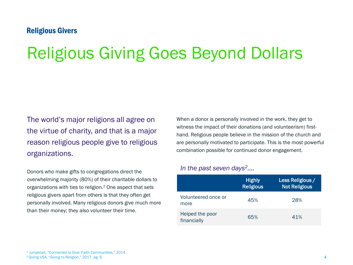### Religious Givers

# Religious Giving Goes Beyond Dollars

The world's major religions all agree on the virtue of charity, and that is a major reason religious people give to religious organizations.

Donors who make gifts to congregations direct the overwhelming majority (80%) of their charitable dollars to organizations with ties to religion. $1$  One aspect that sets religious givers apart from others is that they often get personally involved. Many religious donors give much more than their money; they also volunteer their time.

When a donor is personally involved in the work, they get to witness the impact of their donations (and volunteerism) firsthand. Religious people believe in the mission of the church and are personally motivated to participate. This is the most powerful combination possible for continued donor engagement.

#### *In the past seven days2....*

|                                | <b>Highly</b><br><b>Religious</b> | Less Religious /<br><b>Not Religious</b> |
|--------------------------------|-----------------------------------|------------------------------------------|
| Volunteered once or<br>more    | 45%                               | 28%                                      |
| Helped the poor<br>financially | 65%                               | 41%                                      |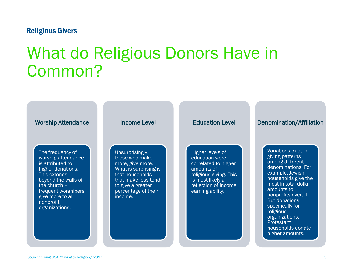#### Religious Givers

## What do Religious Donors Have in Common?

#### Worship Attendance

The frequency of worship attendance is attributed to higher donations. This extends beyond the walls of the church – frequent worshipers give more to all nonprofit organizations.

#### Income Level

Unsurprisingly, those who make more, give more. What is surprising is that households that make less tend to give a greater percentage of their income.

#### Education Level

Higher levels of education were correlated to higher amounts of religious giving. This is most likely a reflection of income earning ability.

#### Denomination/Affiliation

Variations exist in giving patterns among different denominations. For example, Jewish households give the most in total dollar amounts to nonprofits overall. But donations specifically for religious organizations, **Protestant** households donate higher amounts.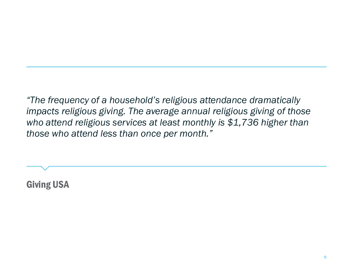*"The frequency of a household's religious attendance dramatically impacts religious giving. The average annual religious giving of those who attend religious services at least monthly is \$1,736 higher than those who attend less than once per month."*

Giving USA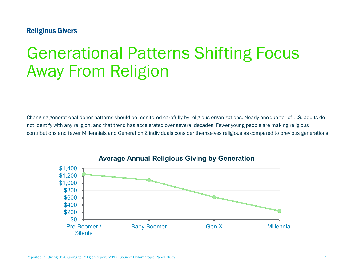### Religious Givers

## Generational Patterns Shifting Focus Away From Religion

Changing generational donor patterns should be monitored carefully by religious organizations. Nearly one-quarter of U.S. adults do not identify with any religion, and that trend has accelerated over several decades. Fewer young people are making religious contributions and fewer Millennials and Generation Z individuals consider themselves religious as compared to previous generations.



#### **Average Annual Religious Giving by Generation**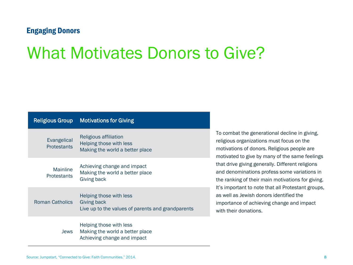#### Engaging Donors

## What Motivates Donors to Give?

| <b>Religious Group</b>            | <b>Motivations for Giving</b>                                                               |
|-----------------------------------|---------------------------------------------------------------------------------------------|
| Evangelical<br><b>Protestants</b> | Religious affiliation<br>Helping those with less<br>Making the world a better place         |
| Mainline<br><b>Protestants</b>    | Achieving change and impact<br>Making the world a better place<br>Giving back               |
| <b>Roman Catholics</b>            | Helping those with less<br>Giving back<br>Live up to the values of parents and grandparents |
| Jews                              | Helping those with less<br>Making the world a better place<br>Achieving change and impact   |

To combat the generational decline in giving, religious organizations must focus on the motivations of donors. Religious people are motivated to give by many of the same feelings that drive giving generally. Different religions and denominations profess some variations in the ranking of their main motivations for giving. It's important to note that all Protestant groups, as well as Jewish donors identified the importance of achieving change and impact with their donations.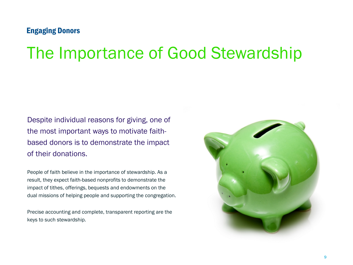### Engaging Donors

## The Importance of Good Stewardship

Despite individual reasons for giving, one of the most important ways to motivate faithbased donors is to demonstrate the impact of their donations.

People of faith believe in the importance of stewardship. As a result, they expect faith-based nonprofits to demonstrate the impact of tithes, offerings, bequests and endowments on the dual missions of helping people and supporting the congregation.

Precise accounting and complete, transparent reporting are the keys to such stewardship.

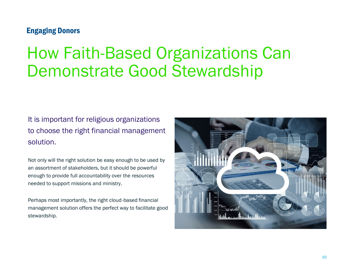### Engaging Donors

## How Faith-Based Organizations Can Demonstrate Good Stewardship

It is important for religious organizations to choose the right financial management solution.

Not only will the right solution be easy enough to be used by an assortment of stakeholders, but it should be powerful enough to provide full accountability over the resources needed to support missions and ministry.

Perhaps most importantly, the right cloud-based financial management solution offers the perfect way to facilitate good stewardship.

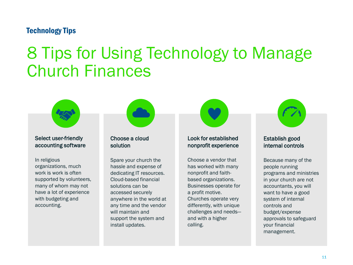### Technology Tips

## 8 Tips for Using Technology to Manage Church Finances



#### select accritionally<br>accounting software accounting software Select user-friendly

organizations, much work is work is often supported by volunteers, many of whom may not have a lot of experience with budgeting and accounting. accounting. In religious

#### Choose a cloud solution solution in the set of the set of the set of the set of the set of the set of the set of the set of the set of <br>Set of the set of the set of the set of the set of the set of the set of the set of the set of the set of the Choose a cloud

install updates.

hassle and expense of dedicating IT resources. Cloud-based financial solutions can be accessed securely anywhere in the world at any time and the vendor will maintain and support the system and install updates. Spare your church the

#### Look for columnister nonprofit experience Look for established nonprofit experience

has worked with many nonprofit and faithbased organizations. Businesses operate for a profit motive. Churches operate very differently, with unique challenges and needsand with a higher calling. welcomed. Choose a vendor that

#### Establish good<br>internal controls medinan Establish good

people running programs and ministries in your church are not accountants, you will want to have a good system of internal controls and budget/expense approvals to safeguard your financial *management.* Because many of the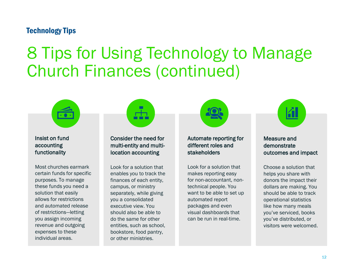### Technology Tips

## 8 Tips for Using Technology to Manage Church Finances (continued)



nelect in tana<br>accounting accounting<br>functionality Insist on fund

Most churches earmark certain funds for specific purposes. To manage these funds you need a solution that easily allows for restrictions and automated release of restrictions-letting you assign incoming revenue and outgoing expenses to these individual areas.



condition the nobality. mana enaly and man<br>location accounting Consider the need for

Look for a solution that enables you to track the finances of each entity, campus, or ministry separately, while giving you a consolidated executive view. You should also be able to do the same for other entities, such as school, bookstore, food pantry, or other ministries.



Additionate reporting to annoncentre communications<br>stakeholders Automate reporting for

Look for a solution that makes reporting easy for non-accountant, nontechnical people. You want to be able to set up automated report packages and even visual dashboards that can be run in real-time. how many visitors were



measure and<br>demonstrate solution outcomes and impact Measure and

Choose a solution that helps you share with donors the impact their dollars are making. You should be able to track operational statistics like how many meals me now many means you've distributed, or year to alcondated, or installe install up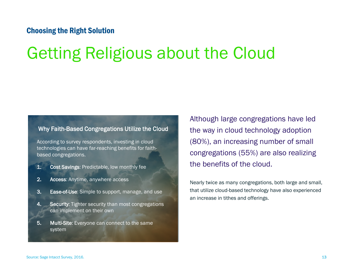### Choosing the Right Solution

## Getting Religious about the Cloud

#### Why Faith-Based Congregations Utilize the Cloud

According to survey respondents, investing in cloud technologies can have far-reaching benefits for faithbased congregations.

- 1. Cost Savings: Predictable, low monthly fee
- 2. Access: Anytime, anywhere access
- **3.** Ease-of-Use: Simple to support, manage, and use
- 4. Security: Tighter security than most congregations can implement on their own
- 5. Multi-Site: Everyone can connect to the same system

Although large congregations have led the way in cloud technology adoption (80%), an increasing number of small congregations (55%) are also realizing the benefits of the cloud.

Nearly twice as many congregations, both large and small, that utilize cloud-based technology have also experienced an increase in tithes and offerings.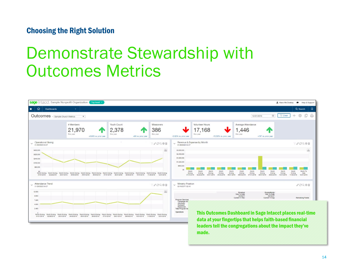### Choosing the Right Solution

## Demonstrate Stewardship with Outcomes Metrics

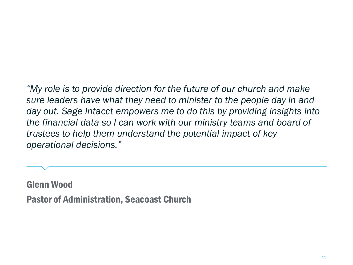*"My role is to provide direction for the future of our church and make sure leaders have what they need to minister to the people day in and day out. Sage Intacct empowers me to do this by providing insights into the financial data so I can work with our ministry teams and board of trustees to help them understand the potential impact of key operational decisions."*

Glenn Wood Pastor of Administration, Seacoast Church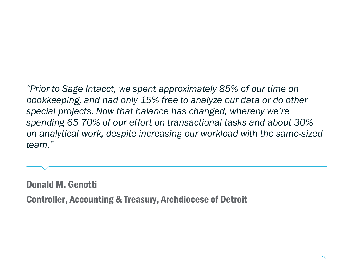*"Prior to Sage Intacct, we spent approximately 85% of our time on bookkeeping, and had only 15% free to analyze our data or do other special projects. Now that balance has changed, whereby we're spending 65-70% of our effort on transactional tasks and about 30% on analytical work, despite increasing our workload with the same-sized team."*

Donald M. Genotti Controller, Accounting & Treasury, Archdiocese of Detroit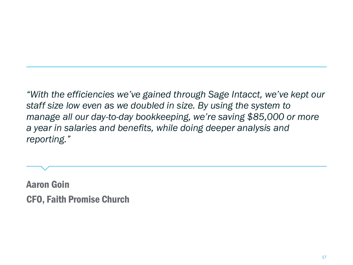*"With the efficiencies we've gained through Sage Intacct, we've kept our staff size low even as we doubled in size. By using the system to manage all our day-to-day bookkeeping, we're saving \$85,000 or more a year in salaries and benefits, while doing deeper analysis and reporting."* 

Aaron Goin CFO, Faith Promise Church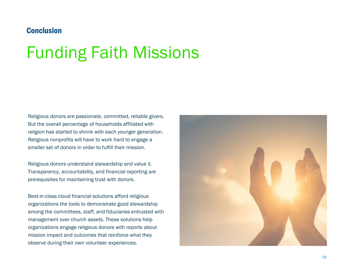### Conclusion

# Funding Faith Missions

Religious donors are passionate, committed, reliable givers. But the overall percentage of households affiliated with religion has started to shrink with each younger generation. Religious nonprofits will have to work hard to engage a smaller set of donors in order to fulfill their mission.

Religious donors understand stewardship and value it. Transparency, accountability, and financial reporting are prerequisites for maintaining trust with donors.

Best-in-class cloud financial solutions afford religious organizations the tools to demonstrate good stewardship among the committees, staff, and fiduciaries entrusted with management over church assets. These solutions help organizations engage religious donors with reports about mission impact and outcomes that reinforce what they observe during their own volunteer experiences.

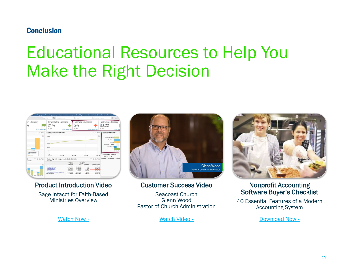### Conclusion

## Educational Resources to Help You Make the Right Decision

| Company<br>Sett                                                         | <b>General Lederr</b><br><b>Accounts Pavable</b>                                                                                                                    | Purchasing                                                                                                                                 | Time & Copenses                                                                                                                 |                                                                              | <b>Accounts Receivable</b>                                                                             | <b>Projects or Grants</b>                                       |                                                           |
|-------------------------------------------------------------------------|---------------------------------------------------------------------------------------------------------------------------------------------------------------------|--------------------------------------------------------------------------------------------------------------------------------------------|---------------------------------------------------------------------------------------------------------------------------------|------------------------------------------------------------------------------|--------------------------------------------------------------------------------------------------------|-----------------------------------------------------------------|-----------------------------------------------------------|
|                                                                         | 曲<br>12/31/14<br>All departments                                                                                                                                    | $\sim$                                                                                                                                     | All fonds                                                                                                                       |                                                                              | All projects or grants<br>$\sim$                                                                       |                                                                 | <b>T</b> Clear                                            |
| am Efficiency<br>⅛<br>+0.21% vs. prior year                             | Adminstrative Expenses<br>21%<br>this year                                                                                                                          | -0.84% vs. prior year                                                                                                                      | <b>Fundraising Expenses</b><br>5%<br>This was                                                                                   |                                                                              | +0.53% vs. prior year                                                                                  | <b>Fundraising Efficiency</b><br>\$0.22<br>this year            | $-4.35\%$ vs. pi                                          |
| Y.<br>COAB                                                              | Trend Cash (in Thousands)<br>020714-0036                                                                                                                            |                                                                                                                                            |                                                                                                                                 |                                                                              | T CO/B                                                                                                 | Program Revenues<br>000714.0938                                 |                                                           |
| w<br><b>NEARING</b><br>C. Denigram Restricts<br>G. Temporario Penantase | 55,000<br>\$4,000<br>\$3,000<br>\$2,000<br>51,000                                                                                                                   |                                                                                                                                            |                                                                                                                                 |                                                                              | 函                                                                                                      | Counselling Services<br>Management & General<br>Mobile Outreach | Food Service<br>Fundrabing<br>Youth Center<br>50 51,200.0 |
| d. Unestate                                                             | $S_{\text{tors}}$<br>03/31/14<br><b>GRIDDISA</b>                                                                                                                    |                                                                                                                                            | 12/31/14<br>00/05/14                                                                                                            |                                                                              |                                                                                                        | * Approve Purchasing<br>Transactions                            |                                                           |
| $CO$ $A$ $B$<br>v Source                                                | v Funct. Exp with Budget v Actual with Commits<br>2010/14/16 18:                                                                                                    |                                                                                                                                            |                                                                                                                                 |                                                                              | $CO$ $AB$                                                                                              | Requester                                                       | <b>Vendor Name</b><br>Date Red                            |
| <b>Sundy Mana Mobil</b><br>Youth                                        | Expenditures<br>Personnel Expenses<br><b>Dredessinnal Fees</b><br><b>Program Expenses</b><br>Occupancy<br>General and Administrative Expenses<br>Total Expenditures | Year Ending<br>12/31/14<br><b>Total Budget</b><br>2.103.467.44<br>1.711.965.18<br>440,241.70<br>582,422,48<br>2.409.750.97<br>7.332.848.77 | Year To Date<br>12/35/14<br>Artual<br>1.721.295.34<br>1.462.820.83<br>441, 016.33<br>491,275.90<br>1.932.745.04<br>6.049.554.24 | Commitments<br>0.00<br>0.00<br>13,799.25<br>11,550.00<br>272.50<br>26,621.75 | Remaining Budget<br>387.172.10<br>249.144.35<br>(14.573.88)<br>79.597.58<br>556,732.63<br>1,258,072.78 |                                                                 |                                                           |

Product Introduction Video

Sage Intacct for Faith-Based Ministries Overview



Customer Success Video

Seacoast Church Glenn Wood Pastor of Church Administration



#### Nonprofit Accounting [Software Buyer's Checklist](https://resources.sageintacct.com/nonprofits/modern-accounting-software-buyers-checklist-for-nonprofits)

40 Essential Features of a Modern Accounting System

[Watch Now »](https://rc.sageintacct.com/product-demos/sage-intacct-for-faith-based-ministries-demo) **[Watch Video »](https://rc.sageintacct.com/customer-videos/how-seacoast-leverages-sage-intaccts-commitment-to-nonprofits) Watch Video » [Download Now »](https://rc.sageintacct.com/white-papers/essential-features-of-a-modern-accounting-system-for-nonprofit-organizations) Download Now »**